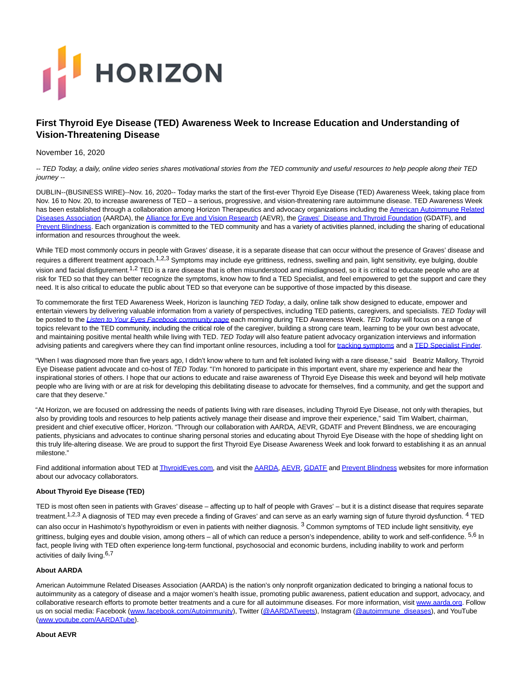# **HORIZON**

# **First Thyroid Eye Disease (TED) Awareness Week to Increase Education and Understanding of Vision-Threatening Disease**

# November 16, 2020

-- TED Today, a daily, online video series shares motivational stories from the TED community and useful resources to help people along their TED journey --

DUBLIN--(BUSINESS WIRE)--Nov. 16, 2020-- Today marks the start of the first-ever Thyroid Eye Disease (TED) Awareness Week, taking place from Nov. 16 to Nov. 20, to increase awareness of TED – a serious, progressive, and vision-threatening rare autoimmune disease. TED Awareness Week has been established through a collaboration among Horizon Therapeutics and advocacy organizations including the [American Autoimmune Related](https://cts.businesswire.com/ct/CT?id=smartlink&url=https%3A%2F%2Fwww.aarda.org%2F&esheet=52327398&newsitemid=20201116005121&lan=en-US&anchor=American+Autoimmune+Related+Diseases+Association&index=1&md5=b2e31840a0dc21c9588d50ec1b155f22) Diseases Association (AARDA), the Alliance for Eve and Vision Research (AEVR), the [Graves' Disease and Thyroid Foundation \(](https://cts.businesswire.com/ct/CT?id=smartlink&url=https%3A%2F%2Fgdatf.org%2F&esheet=52327398&newsitemid=20201116005121&lan=en-US&anchor=Graves%26%238217%3B+Disease+and+Thyroid+Foundation&index=3&md5=10f41489e53fedc08741b63337a36d32)GDATF), and [Prevent Blindness.](https://cts.businesswire.com/ct/CT?id=smartlink&url=http%3A%2F%2Fwww.prevetblindness.org%2F&esheet=52327398&newsitemid=20201116005121&lan=en-US&anchor=Prevent+Blindness&index=4&md5=77315fce3701851117c9ffd1c6b0ce9e) Each organization is committed to the TED community and has a variety of activities planned, including the sharing of educational information and resources throughout the week.

While TED most commonly occurs in people with Graves' disease, it is a separate disease that can occur without the presence of Graves' disease and requires a different treatment approach.<sup>1,2,3</sup> Symptoms may include eye grittiness, redness, swelling and pain, light sensitivity, eye bulging, double vision and facial disfigurement.<sup>1,2</sup> TED is a rare disease that is often misunderstood and misdiagnosed, so it is critical to educate people who are at risk for TED so that they can better recognize the symptoms, know how to find a TED Specialist, and feel empowered to get the support and care they need. It is also critical to educate the public about TED so that everyone can be supportive of those impacted by this disease.

To commemorate the first TED Awareness Week, Horizon is launching TED Today, a daily, online talk show designed to educate, empower and entertain viewers by delivering valuable information from a variety of perspectives, including TED patients, caregivers, and specialists. TED Today will be posted to the [Listen to Your Eyes Facebook community page](https://cts.businesswire.com/ct/CT?id=smartlink&url=https%3A%2F%2Fwww.facebook.com%2FThyroidEyes&esheet=52327398&newsitemid=20201116005121&lan=en-US&anchor=Listen+to+Your+Eyes+Facebook+community+page&index=5&md5=77b4d973cdc766ce6b127e2e4a44f019) each morning during TED Awareness Week. TED Today will focus on a range of topics relevant to the TED community, including the critical role of the caregiver, building a strong care team, learning to be your own best advocate, and maintaining positive mental health while living with TED. TED Today will also feature patient advocacy organization interviews and information advising patients and caregivers where they can find important online resources, including a tool for [tracking symptoms a](https://cts.businesswire.com/ct/CT?id=smartlink&url=https%3A%2F%2Fwww.thyroideyes.com%2Fthyroid-eye-disease-symptoms%2Ftracking-the-signs&esheet=52327398&newsitemid=20201116005121&lan=en-US&anchor=tracking+symptoms&index=6&md5=d355863287d27ece56e8181595ac85d9)nd a [TED Specialist Finder.](https://cts.businesswire.com/ct/CT?id=smartlink&url=https%3A%2F%2Fwww.thyroideyes.com%2Ffind-a-thyroid-eye-disease-specialist&esheet=52327398&newsitemid=20201116005121&lan=en-US&anchor=TED+Specialist+Finder&index=7&md5=861547b36c3336122796ab352528adc1)

"When I was diagnosed more than five years ago, I didn't know where to turn and felt isolated living with a rare disease," said Beatriz Mallory, Thyroid Eye Disease patient advocate and co-host of TED Today. "I'm honored to participate in this important event, share my experience and hear the inspirational stories of others. I hope that our actions to educate and raise awareness of Thyroid Eye Disease this week and beyond will help motivate people who are living with or are at risk for developing this debilitating disease to advocate for themselves, find a community, and get the support and care that they deserve."

"At Horizon, we are focused on addressing the needs of patients living with rare diseases, including Thyroid Eye Disease, not only with therapies, but also by providing tools and resources to help patients actively manage their disease and improve their experience," said Tim Walbert, chairman, president and chief executive officer, Horizon. "Through our collaboration with AARDA, AEVR, GDATF and Prevent Blindness, we are encouraging patients, physicians and advocates to continue sharing personal stories and educating about Thyroid Eye Disease with the hope of shedding light on this truly life-altering disease. We are proud to support the first Thyroid Eye Disease Awareness Week and look forward to establishing it as an annual milestone."

Find additional information about TED at ThyroidEves.com, and visit th[e AARDA,](https://cts.businesswire.com/ct/CT?id=smartlink&url=https%3A%2F%2Fwww.aarda.org%2Fdiseaseinfo%2Fthyroid-eye-disease-ted%2F&esheet=52327398&newsitemid=20201116005121&lan=en-US&anchor=AARDA&index=9&md5=8a5aa4ee30a38943beef302569c925ab) [AEVR,](https://cts.businesswire.com/ct/CT?id=smartlink&url=https%3A%2F%2Fwww.eyeresearch.org%2F&esheet=52327398&newsitemid=20201116005121&lan=en-US&anchor=AEVR&index=10&md5=a2210cf1821572da10c42711d6f29f2d) GDATE an[d Prevent Blindness w](https://cts.businesswire.com/ct/CT?id=smartlink&url=https%3A%2F%2Fpreventblindness.org%2Fthyroid-eye-disease%2F&esheet=52327398&newsitemid=20201116005121&lan=en-US&anchor=Prevent+Blindness&index=12&md5=9b9f09bb4749e8f28b47cd632fc38a46)ebsites for more information about our advocacy collaborators.

### **About Thyroid Eye Disease (TED)**

TED is most often seen in patients with Graves' disease – affecting up to half of people with Graves' – but it is a distinct disease that requires separate treatment.<sup>1,2,3</sup> A diagnosis of TED may even precede a finding of Graves' and can serve as an early warning sign of future thyroid dysfunction. <sup>4</sup> TED can also occur in Hashimoto's hypothyroidism or even in patients with neither diagnosis.<sup>3</sup> Common symptoms of TED include light sensitivity, eye grittiness, bulging eyes and double vision, among others – all of which can reduce a person's independence, ability to work and self-confidence. 5,6 In fact, people living with TED often experience long-term functional, psychosocial and economic burdens, including inability to work and perform activities of daily living.<sup>6,7</sup>

# **About AARDA**

American Autoimmune Related Diseases Association (AARDA) is the nation's only nonprofit organization dedicated to bringing a national focus to autoimmunity as a category of disease and a major women's health issue, promoting public awareness, patient education and support, advocacy, and collaborative research efforts to promote better treatments and a cure for all autoimmune diseases. For more information, visit [www.aarda.org.](https://cts.businesswire.com/ct/CT?id=smartlink&url=https%3A%2F%2Furldefense.com%2Fv3%2F__http%3A%2Fwww.aarda.org__%3B%21%21Ef8XXVgkWmNjqc0%21NZaaIWNz9fGm60lJSlDLBgXffA3GRMImsE2NNG2-sI0zQxXtn0DBwmqbGAbGdDT-NUq5dqY%24&esheet=52327398&newsitemid=20201116005121&lan=en-US&anchor=www.aarda.org&index=13&md5=b4220005ac36ab81d91984fd38a0ba5f) Follow us on social media: Facebook [\(www.facebook.com/Autoimmunity\),](https://cts.businesswire.com/ct/CT?id=smartlink&url=http%3A%2F%2Fwww.facebook.com%2FAutoimmunity&esheet=52327398&newsitemid=20201116005121&lan=en-US&anchor=www.facebook.com%2FAutoimmunity&index=14&md5=b45f0fb6249c680e4dd9b3978b40541d) Twitter [\(@AARDATweets\),](https://cts.businesswire.com/ct/CT?id=smartlink&url=https%3A%2F%2Furldefense.com%2Fv3%2F__https%3A%2Ftwitter.com%2FAARDATweets__%3B%21%21Ef8XXVgkWmNjqc0%21NZaaIWNz9fGm60lJSlDLBgXffA3GRMImsE2NNG2-sI0zQxXtn0DBwmqbGAbGdDT-j-rlONk%24&esheet=52327398&newsitemid=20201116005121&lan=en-US&anchor=%40AARDATweets&index=15&md5=9e3eefc862d8c2ca501ae3ac3bc2c488) Instagram [\(@autoimmune\\_diseases\),](https://cts.businesswire.com/ct/CT?id=smartlink&url=https%3A%2F%2Furldefense.com%2Fv3%2F__https%3A%2Fwww.instagram.com%2Fautoimmune_diseases%2F__%3B%21%21Ef8XXVgkWmNjqc0%21NZaaIWNz9fGm60lJSlDLBgXffA3GRMImsE2NNG2-sI0zQxXtn0DBwmqbGAbGdDT-9nIe9Bo%24&esheet=52327398&newsitemid=20201116005121&lan=en-US&anchor=%40autoimmune_diseases&index=16&md5=26d0a0ab206e3a9c17a1f6251f06e4c0) and YouTube [\(www.youtube.com/AARDATube\).](https://cts.businesswire.com/ct/CT?id=smartlink&url=https%3A%2F%2Furldefense.com%2Fv3%2F__http%3A%2Fwww.youtube.com%2FAARDATube__%3B%21%21Ef8XXVgkWmNjqc0%21NZaaIWNz9fGm60lJSlDLBgXffA3GRMImsE2NNG2-sI0zQxXtn0DBwmqbGAbGdDT-jNa5WX4%24&esheet=52327398&newsitemid=20201116005121&lan=en-US&anchor=www.youtube.com%2FAARDATube&index=17&md5=347f1b862409d3bfbc18a1df5eeb6eea)

### **About AEVR**